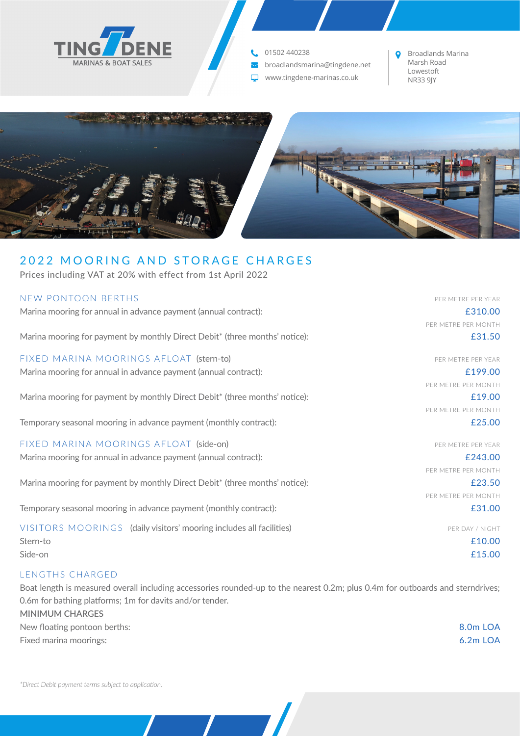

## 01502 440238

broadlandsmarina@tingdene.net  $\overline{\smile}$ 

www.tingdene-marinas.co.uk

Broadlands Marina Marsh Road Lowestoft<br>NR33 9JY

PER METRE PER MONTH

PER METRE PER MONTH

PER METRE PER MONTH

PER METRE PER MONTH

PER METRE PER MONTH



# 2022 MOORING AND STORAGE CHARGES

Prices including VAT at 20% with effect from 1st April 2022

#### NEW PONTOON BERTHS PER SERVER AND THE PER YEAR AND THE PER YEAR AND THE PER YEAR AND THE PER YEAR

Marina mooring for annual in advance payment (annual contract): example and the state of the state of the state of the state of the state of the state of the state of the state of the state of the state of the state of the

Marina mooring for payment by monthly Direct Debit\* (three months' notice): E31.50

FIXED MARINA MOORINGS AFLOAT (stern-to) entitled that the state of the per metric per year Marina mooring for annual in advance payment (annual contract): E199.00

Marina mooring for payment by monthly Direct Debit\* (three months' notice):  $\epsilon$  19.00

Temporary seasonal mooring in advance payment (monthly contract):  $\epsilon$  25.00

#### FIXED MARINA MOORINGS AFLOAT (side-on) **PER SEAR ASSAULT A CONSTRUCT OF A PER METRE PER YEAR**

Marina mooring for annual in advance payment (annual contract): **EXALL EXALL EXALL EXALL EXALL EXALL EXALL EXALC** 

Marina mooring for payment by monthly Direct Debit<sup>\*</sup> (three months' notice): E23.50

Temporary seasonal mooring in advance payment (monthly contract):  $\qquad 231.00$ 

VISITORS MOORINGS (daily visitors' mooring includes all facilities) PER DAY / NIGHT Stern-to £10.00 Side-on £15.00

#### LENGTHS CHARGED

Boat length is measured overall including accessories rounded-up to the nearest 0.2m; plus 0.4m for outboards and sterndrives; 0.6m for bathing platforms; 1m for davits and/or tender.

**MINIMUM CHARGES** New floating pontoon berths: 8.0m LOA Fixed marina moorings: 6.2m LOA

*\*Direct Debit payment terms subject to application.*